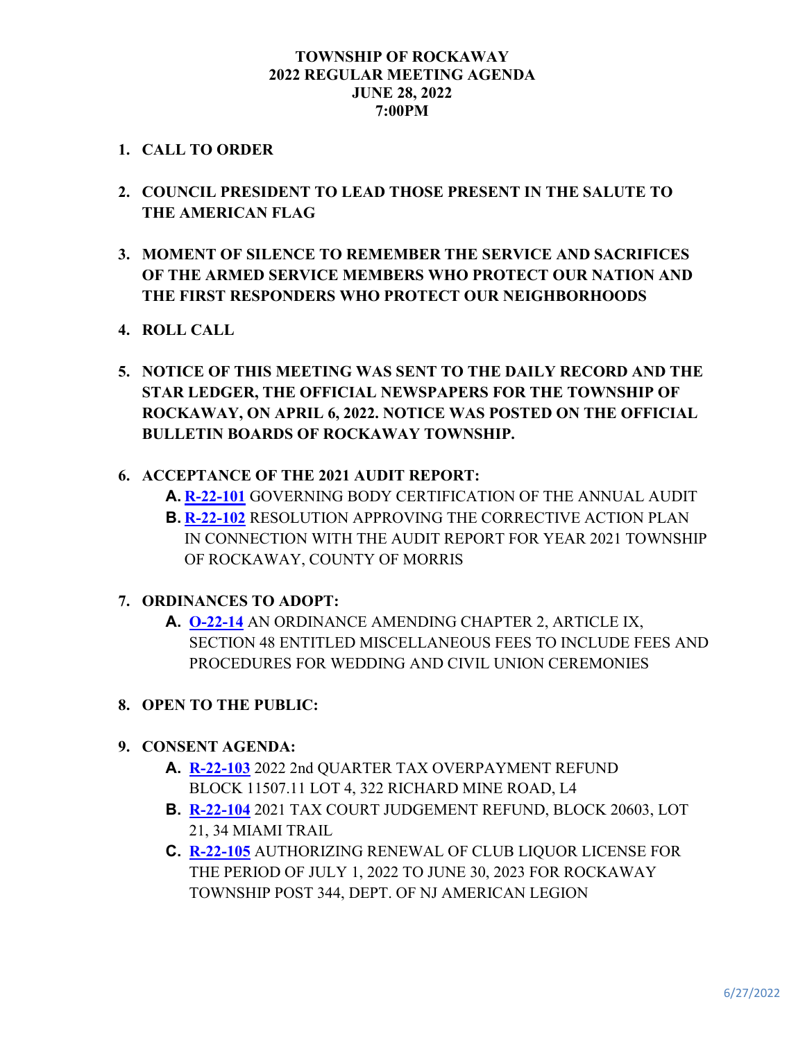## **TOWNSHIP OF ROCKAWAY 2022 REGULAR MEETING AGENDA JUNE 28, 2022 7:00PM**

## **1. CALL TO ORDER**

- **2. COUNCIL PRESIDENT TO LEAD THOSE PRESENT IN THE SALUTE TO THE AMERICAN FLAG**
- **3. MOMENT OF SILENCE TO REMEMBER THE SERVICE AND SACRIFICES OF THE ARMED SERVICE MEMBERS WHO PROTECT OUR NATION AND THE FIRST RESPONDERS WHO PROTECT OUR NEIGHBORHOODS**
- **4. ROLL CALL**
- **5. NOTICE OF THIS MEETING WAS SENT TO THE DAILY RECORD AND THE STAR LEDGER, THE OFFICIAL NEWSPAPERS FOR THE TOWNSHIP OF ROCKAWAY, ON APRIL 6, 2022. NOTICE WAS POSTED ON THE OFFICIAL BULLETIN BOARDS OF ROCKAWAY TOWNSHIP.**
- **6. ACCEPTANCE OF THE 2021 AUDIT REPORT:**
	- **A. [R-22-101](https://www.rockawaytownship.org/DocumentCenter/View/8477/R-22-101-2021-Certification-of-Annual-Audit)** GOVERNING BODY CERTIFICATION OF THE ANNUAL AUDIT **B. [R-22-102](https://www.rockawaytownship.org/DocumentCenter/View/8478/R-22-102-2021-Audit-Report---Corrective-Action-Plan)** RESOLUTION APPROVING THE CORRECTIVE ACTION PLAN IN CONNECTION WITH THE AUDIT REPORT FOR YEAR 2021 TOWNSHIP OF ROCKAWAY, COUNTY OF MORRIS

## **7. ORDINANCES TO ADOPT:**

- **A. [O-22-14](https://www.rockawaytownship.org/DocumentCenter/View/8450/O-22-14-Revised-Draft-Ordinance---WEDDING-AND-CIVIL-UNION-CEREMONIES-003)** AN ORDINANCE AMENDING CHAPTER 2, ARTICLE IX, SECTION 48 ENTITLED MISCELLANEOUS FEES TO INCLUDE FEES AND PROCEDURES FOR WEDDING AND CIVIL UNION CEREMONIES
- **8. OPEN TO THE PUBLIC:**
- **9. CONSENT AGENDA:**
	- **A. [R-22-103](https://www.rockawaytownship.org/DocumentCenter/View/8479/R-22-103-overpayment-refund-1150711-4)** 2022 2nd QUARTER TAX OVERPAYMENT REFUND BLOCK 11507.11 LOT 4, 322 RICHARD MINE ROAD, L4
	- **B. [R-22-104](https://www.rockawaytownship.org/DocumentCenter/View/8480/R-22-104-2021-Tax-Court-Judgement-Refund)** 2021 TAX COURT JUDGEMENT REFUND, BLOCK 20603, LOT 21, 34 MIAMI TRAIL
	- **C. [R-22-105](https://www.rockawaytownship.org/DocumentCenter/View/8481/R-22-105-American-Legion-Liquor-License-Renewal)** AUTHORIZING RENEWAL OF CLUB LIQUOR LICENSE FOR THE PERIOD OF JULY 1, 2022 TO JUNE 30, 2023 FOR ROCKAWAY TOWNSHIP POST 344, DEPT. OF NJ AMERICAN LEGION